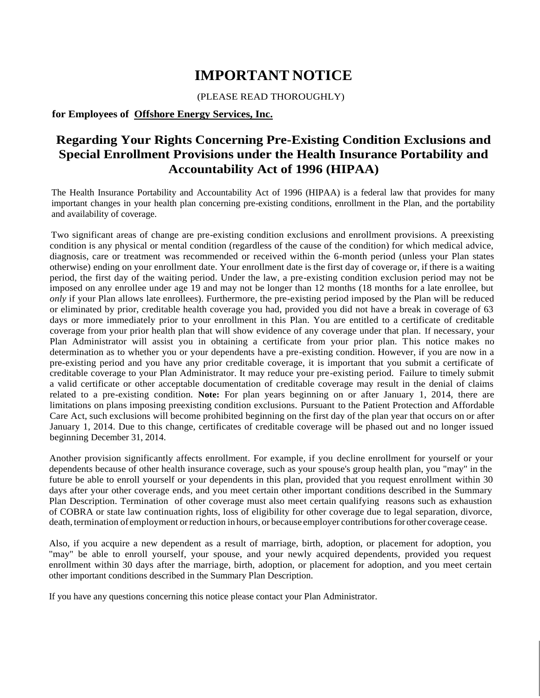## **IMPORTANT NOTICE**

#### (PLEASE READ THOROUGHLY)

### **for Employees of Offshore Energy Services, Inc.**

### **Regarding Your Rights Concerning Pre-Existing Condition Exclusions and Special Enrollment Provisions under the Health Insurance Portability and Accountability Act of 1996 (HIPAA)**

The Health Insurance Portability and Accountability Act of 1996 (HIPAA) is a federal law that provides for many important changes in your health plan concerning pre-existing conditions, enrollment in the Plan, and the portability and availability of coverage.

Two significant areas of change are pre-existing condition exclusions and enrollment provisions. A preexisting condition is any physical or mental condition (regardless of the cause of the condition) for which medical advice, diagnosis, care or treatment was recommended or received within the 6-month period (unless your Plan states otherwise) ending on your enrollment date. Your enrollment date is the first day of coverage or, if there is a waiting period, the first day of the waiting period. Under the law, a pre-existing condition exclusion period may not be imposed on any enrollee under age 19 and may not be longer than 12 months (18 months for a late enrollee, but *only* if your Plan allows late enrollees). Furthermore, the pre-existing period imposed by the Plan will be reduced or eliminated by prior, creditable health coverage you had, provided you did not have a break in coverage of 63 days or more immediately prior to your enrollment in this Plan. You are entitled to a certificate of creditable coverage from your prior health plan that will show evidence of any coverage under that plan. If necessary, your Plan Administrator will assist you in obtaining a certificate from your prior plan. This notice makes no determination as to whether you or your dependents have a pre-existing condition. However, if you are now in a pre-existing period and you have any prior creditable coverage, it is important that you submit a certificate of creditable coverage to your Plan Administrator. It may reduce your pre-existing period. Failure to timely submit a valid certificate or other acceptable documentation of creditable coverage may result in the denial of claims related to a pre-existing condition. **Note:** For plan years beginning on or after January 1, 2014, there are limitations on plans imposing preexisting condition exclusions. Pursuant to the Patient Protection and Affordable Care Act, such exclusions will become prohibited beginning on the first day of the plan year that occurs on or after January 1, 2014. Due to this change, certificates of creditable coverage will be phased out and no longer issued beginning December 31, 2014.

Another provision significantly affects enrollment. For example, if you decline enrollment for yourself or your dependents because of other health insurance coverage, such as your spouse's group health plan, you "may" in the future be able to enroll yourself or your dependents in this plan, provided that you request enrollment within 30 days after your other coverage ends, and you meet certain other important conditions described in the Summary Plan Description. Termination of other coverage must also meet certain qualifying reasons such as exhaustion of COBRA or state law continuation rights, loss of eligibility for other coverage due to legal separation, divorce, death, termination of employment or reduction in hours, or because employer contributions for other coverage cease.

Also, if you acquire a new dependent as a result of marriage, birth, adoption, or placement for adoption, you "may" be able to enroll yourself, your spouse, and your newly acquired dependents, provided you request enrollment within 30 days after the marriage, birth, adoption, or placement for adoption, and you meet certain other important conditions described in the Summary Plan Description.

If you have any questions concerning this notice please contact your Plan Administrator.